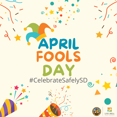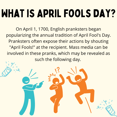## WHAT IS APRIL FOOLS DAY?

On April 1, 1700, English pranksters began popularizing the annual tradition of April Fool's Day. Pranksters often expose their actions by shouting "April Fools!" at the recipient. Mass media can be involved in these pranks, which may be revealed as such the following day.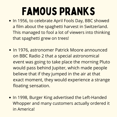## Famous Pranks

- . In 1956, to celebrate April Fools Day, BBC showed a film about the spaghetti harvest in Switzerland. This managed to fool a lot of viewers into thinking that spaghetti grew on trees!
- In 1976, astronomer Patrick Moore announced on BBC Radio 2 that a special astronomical event was going to take place the morning Pluto would pass behind Jupiter, which made people believe that if they jumped in the air at that exact moment, they would experience a strange floating sensation.
- . In 1998, Burger King advertised the Left-Handed Whopper and many customers actually ordered it in America!